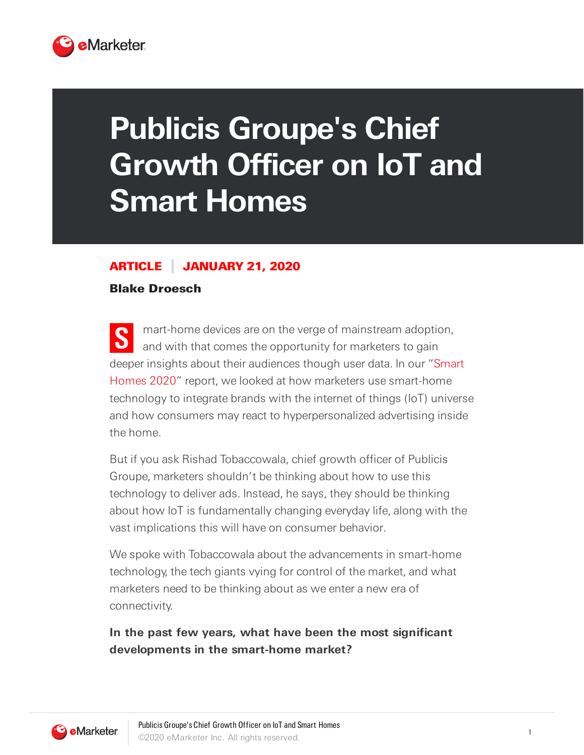

# **Publicis Groupe's Chief Growth Officer on IoT and Smart Homes**

#### ARTICLE JANUARY 21, 2020

#### Blake Droesch

**S** mart-home devices are on the verge of mainstream adoption, and with that comes the opportunity for marketers to gain deeper insights about their audiences though user data. In our "Smart Homes 2020" report, we looked at how marketers use smart-home technology to integrate brands with the internet of things (IoT) universe and how consumers may react to hyperpersonalized advertising inside the home.

But if you ask Rishad Tobaccowala, chief growth officer of Publicis Groupe, marketers shouldn't be thinking about how to use this technology to deliver ads. Instead, he says, they should be thinking about how IoT is fundamentally changing everyday life, along with the vast implications this will have on consumer behavior.

We spoke with Tobaccowala about the advancements in smart-home technology, the tech giants vying for control of the market, and what marketers need to be thinking about as we enter a new era of connectivity.

# **In the past few years, what have been the most significant developments in the smart-home market?**

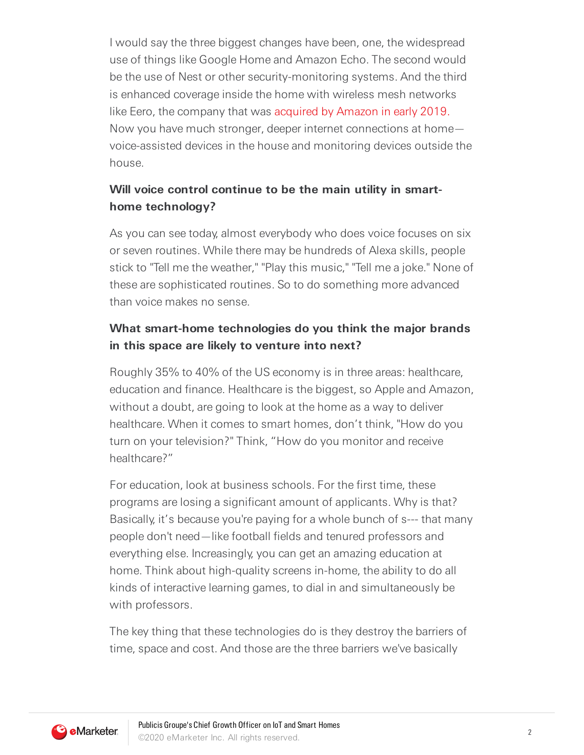I would say the three biggest changes have been, one, the widespread use of things like Google Home and Amazon Echo. The second would be the use of Nest or other security-monitoring systems. And the third is enhanced coverage inside the home with wireless mesh networks like Eero, the company that was [acquired](https://www.buzzfeednews.com/article/nicolenguyen/amazon-acquisition-eero-routers-privacy) by Amazon in early 2019. Now you have much stronger, deeper internet connections at home voice-assisted devices in the house and monitoring devices outside the house.

# **Will voice control continue to be the main utility in smarthome technology?**

As you can see today, almost everybody who does voice focuses on six or seven routines. While there may be hundreds of Alexa skills, people stick to "Tell me the weather," "Play this music," "Tell me a joke." None of these are sophisticated routines. So to do something more advanced than voice makes no sense.

### **What smart-home technologies do you think the major brands in this space are likely to venture into next?**

Roughly 35% to 40% of the US economy is in three areas: healthcare, education and finance. Healthcare is the biggest, so Apple and Amazon, without a doubt, are going to look at the home as a way to deliver healthcare. When it comes to smart homes, don't think, "How do you turn on your television?" Think, "How do you monitor and receive healthcare?"

For education, look at business schools. For the first time, these programs are losing a significant amount of applicants. Why is that? Basically, it's because you're paying for a whole bunch of s--- that many people don't need—like football fields and tenured professors and everything else. Increasingly, you can get an amazing education at home. Think about high-quality screens in-home, the ability to do all kinds of interactive learning games, to dial in and simultaneously be with professors.

The key thing that these technologies do is they destroy the barriers of time, space and cost. And those are the three barriers we've basically

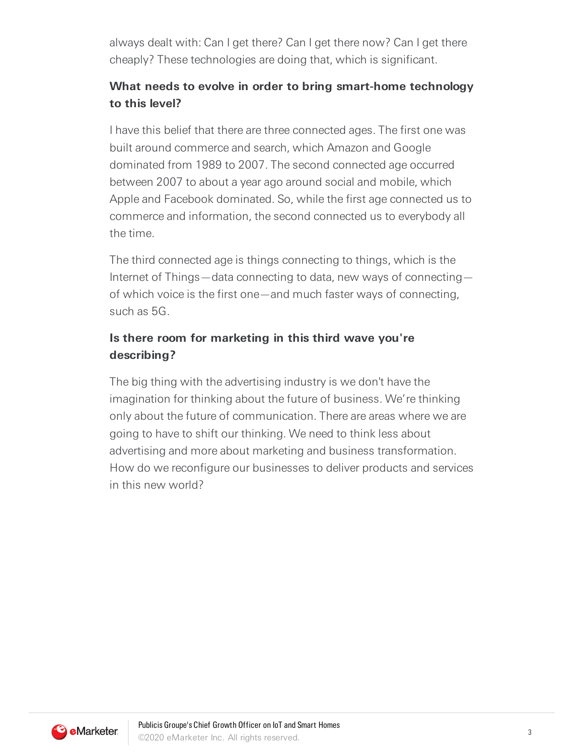always dealt with: Can I get there? Can I get there now? Can I get there cheaply? These technologies are doing that, which is significant.

# **What needs to evolve in order to bring smart-home technology to this level?**

I have this belief that there are three connected ages. The first one was built around commerce and search, which Amazon and Google dominated from 1989 to 2007. The second connected age occurred between 2007 to about a year ago around social and mobile, which Apple and Facebook dominated. So, while the first age connected us to commerce and information, the second connected us to everybody all the time.

The third connected age is things connecting to things, which is the Internet of Things—data connecting to data, new ways of connecting of which voice is the first one—and much faster ways of connecting, such as 5G.

# **Is there room for marketing in this third wave you're describing?**

The big thing with the advertising industry is we don't have the imagination for thinking about the future of business. We're thinking only about the future of communication. There are areas where we are going to have to shift our thinking. We need to think less about advertising and more about marketing and business transformation. How do we reconfigure our businesses to deliver products and services in this new world?